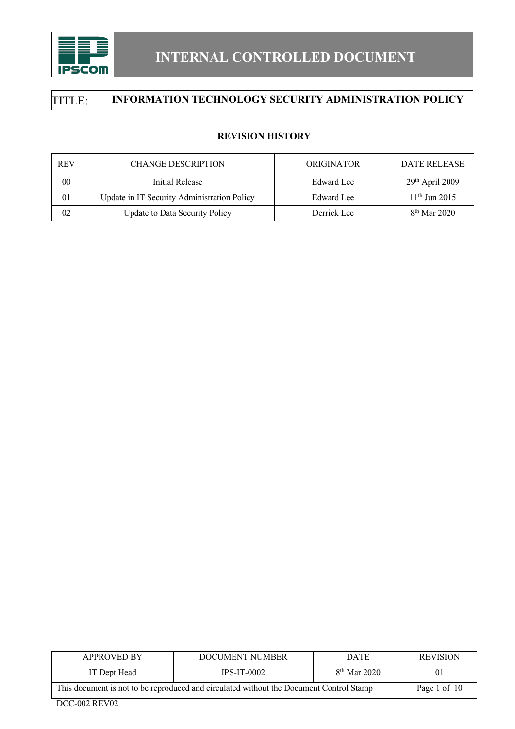

### **REVISION HISTORY**

| <b>REV</b> | <b>CHANGE DESCRIPTION</b>                   | <b>ORIGINATOR</b> | DATE RELEASE      |
|------------|---------------------------------------------|-------------------|-------------------|
| 00         | Initial Release                             | Edward Lee        | $29th$ April 2009 |
| 01         | Update in IT Security Administration Policy | Edward Lee        | $11th$ Jun 2015   |
| 02         | Update to Data Security Policy              | Derrick Lee       | $8th$ Mar 2020    |

| <b>APPROVED BY</b>                                                                      | DOCUMENT NUMBER | <b>DATE</b>    | <b>REVISION</b> |
|-----------------------------------------------------------------------------------------|-----------------|----------------|-----------------|
| IT Dept Head                                                                            | $IPS-IT-0002$   | $8th$ Mar 2020 | 01              |
| This document is not to be reproduced and circulated without the Document Control Stamp | Page 1 of 10    |                |                 |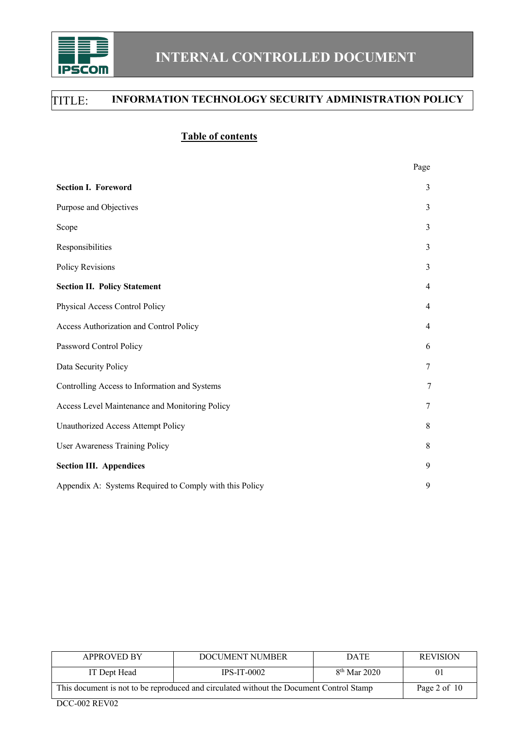

### **Table of contents**

|                                                         | Page           |  |
|---------------------------------------------------------|----------------|--|
| <b>Section I. Foreword</b>                              | 3              |  |
| Purpose and Objectives                                  | 3              |  |
| Scope                                                   | 3              |  |
| Responsibilities                                        | 3              |  |
| Policy Revisions                                        | 3              |  |
| <b>Section II. Policy Statement</b>                     | $\overline{4}$ |  |
| Physical Access Control Policy                          | $\overline{4}$ |  |
| Access Authorization and Control Policy                 | $\overline{4}$ |  |
| Password Control Policy                                 | 6              |  |
| Data Security Policy                                    | 7              |  |
| Controlling Access to Information and Systems           | 7              |  |
| Access Level Maintenance and Monitoring Policy          | 7              |  |
| Unauthorized Access Attempt Policy                      | 8              |  |
| User Awareness Training Policy                          | 8              |  |
| <b>Section III. Appendices</b>                          | 9              |  |
| Appendix A: Systems Required to Comply with this Policy | 9              |  |

| <b>APPROVED BY</b>                                                                      | DOCUMENT NUMBER | <b>DATE</b>    | <b>REVISION</b> |
|-----------------------------------------------------------------------------------------|-----------------|----------------|-----------------|
| IT Dept Head                                                                            | $IPS-IT-0002$   | $8th$ Mar 2020 | 01              |
| This document is not to be reproduced and circulated without the Document Control Stamp | Page 2 of $10$  |                |                 |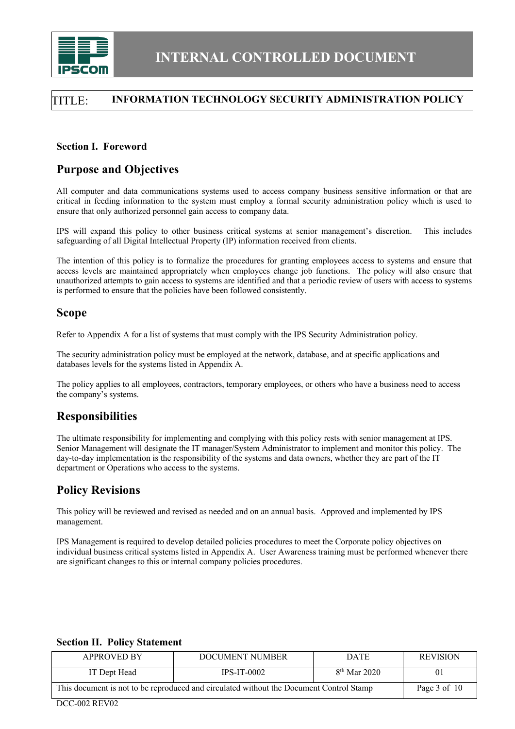

### **Section I. Foreword**

### **Purpose and Objectives**

All computer and data communications systems used to access company business sensitive information or that are critical in feeding information to the system must employ a formal security administration policy which is used to ensure that only authorized personnel gain access to company data.

IPS will expand this policy to other business critical systems at senior management's discretion. This includes safeguarding of all Digital Intellectual Property (IP) information received from clients.

The intention of this policy is to formalize the procedures for granting employees access to systems and ensure that access levels are maintained appropriately when employees change job functions. The policy will also ensure that unauthorized attempts to gain access to systems are identified and that a periodic review of users with access to systems is performed to ensure that the policies have been followed consistently.

### **Scope**

Refer to Appendix A for a list of systems that must comply with the IPS Security Administration policy.

The security administration policy must be employed at the network, database, and at specific applications and databases levels for the systems listed in Appendix A.

The policy applies to all employees, contractors, temporary employees, or others who have a business need to access the company's systems.

## **Responsibilities**

The ultimate responsibility for implementing and complying with this policy rests with senior management at IPS. Senior Management will designate the IT manager/System Administrator to implement and monitor this policy. The day-to-day implementation is the responsibility of the systems and data owners, whether they are part of the IT department or Operations who access to the systems.

## **Policy Revisions**

This policy will be reviewed and revised as needed and on an annual basis. Approved and implemented by IPS management.

IPS Management is required to develop detailed policies procedures to meet the Corporate policy objectives on individual business critical systems listed in Appendix A. User Awareness training must be performed whenever there are significant changes to this or internal company policies procedures.

| <b>APPROVED BY</b>                                                                      | DOCUMENT NUMBER  | <b>DATE</b>    | <b>REVISION</b> |
|-----------------------------------------------------------------------------------------|------------------|----------------|-----------------|
| IT Dept Head                                                                            | $IPS-IT-0002$    | $8th$ Mar 2020 | $_{0}$          |
| This document is not to be reproduced and circulated without the Document Control Stamp | Page $3$ of $10$ |                |                 |

### **Section II. Policy Statement**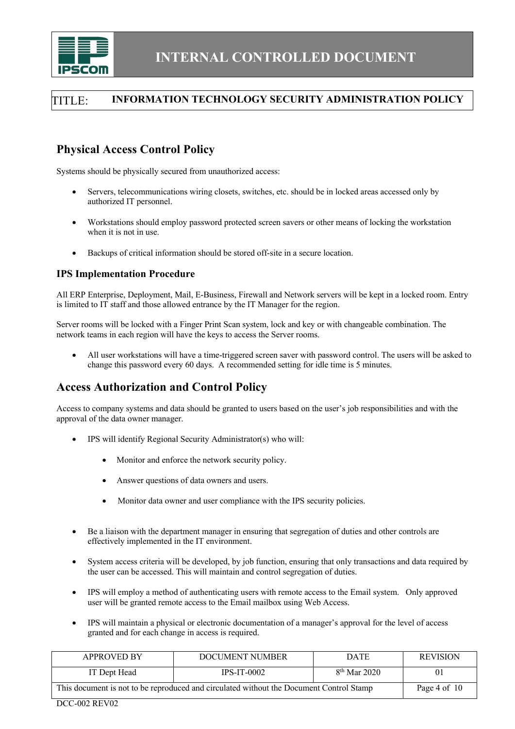

# **Physical Access Control Policy**

Systems should be physically secured from unauthorized access:

- Servers, telecommunications wiring closets, switches, etc. should be in locked areas accessed only by authorized IT personnel.
- Workstations should employ password protected screen savers or other means of locking the workstation when it is not in use.
- Backups of critical information should be stored off-site in a secure location.

#### **IPS Implementation Procedure**

All ERP Enterprise, Deployment, Mail, E-Business, Firewall and Network servers will be kept in a locked room. Entry is limited to IT staff and those allowed entrance by the IT Manager for the region.

Server rooms will be locked with a Finger Print Scan system, lock and key or with changeable combination. The network teams in each region will have the keys to access the Server rooms.

• All user workstations will have a time-triggered screen saver with password control. The users will be asked to change this password every 60 days. A recommended setting for idle time is 5 minutes.

# **Access Authorization and Control Policy**

Access to company systems and data should be granted to users based on the user's job responsibilities and with the approval of the data owner manager.

- IPS will identify Regional Security Administrator(s) who will:
	- Monitor and enforce the network security policy.
	- Answer questions of data owners and users.
	- Monitor data owner and user compliance with the IPS security policies.
- Be a liaison with the department manager in ensuring that segregation of duties and other controls are effectively implemented in the IT environment.
- System access criteria will be developed, by job function, ensuring that only transactions and data required by the user can be accessed. This will maintain and control segregation of duties.
- IPS will employ a method of authenticating users with remote access to the Email system. Only approved user will be granted remote access to the Email mailbox using Web Access.
- IPS will maintain a physical or electronic documentation of a manager's approval for the level of access granted and for each change in access is required.

| <b>APPROVED BY</b>                                                                      | DOCUMENT NUMBER | <b>DATE</b>    | <b>REVISION</b> |
|-----------------------------------------------------------------------------------------|-----------------|----------------|-----------------|
| IT Dept Head                                                                            | $IPS-IT-0002$   | $8th$ Mar 2020 | 01              |
| This document is not to be reproduced and circulated without the Document Control Stamp | Page 4 of $10$  |                |                 |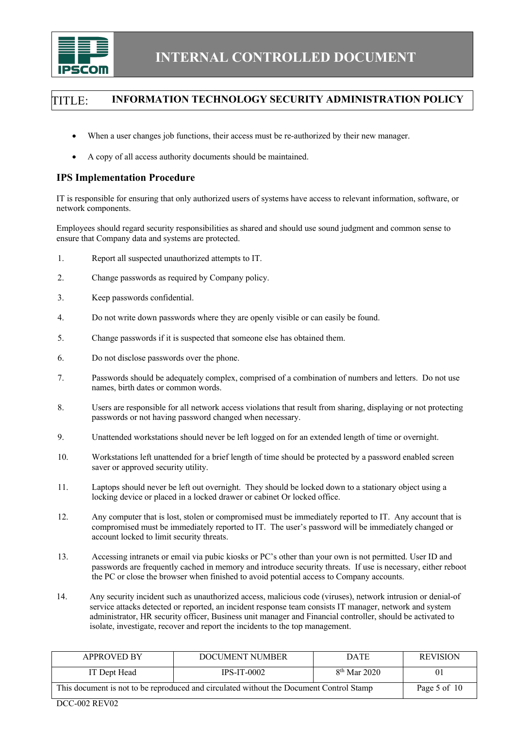

- When a user changes job functions, their access must be re-authorized by their new manager.
- A copy of all access authority documents should be maintained.

### **IPS Implementation Procedure**

IT is responsible for ensuring that only authorized users of systems have access to relevant information, software, or network components.

Employees should regard security responsibilities as shared and should use sound judgment and common sense to ensure that Company data and systems are protected.

- 1. Report all suspected unauthorized attempts to IT.
- 2. Change passwords as required by Company policy.
- 3. Keep passwords confidential.
- 4. Do not write down passwords where they are openly visible or can easily be found.
- 5. Change passwords if it is suspected that someone else has obtained them.
- 6. Do not disclose passwords over the phone.
- 7. Passwords should be adequately complex, comprised of a combination of numbers and letters. Do not use names, birth dates or common words.
- 8. Users are responsible for all network access violations that result from sharing, displaying or not protecting passwords or not having password changed when necessary.
- 9. Unattended workstations should never be left logged on for an extended length of time or overnight.
- 10. Workstations left unattended for a brief length of time should be protected by a password enabled screen saver or approved security utility.
- 11. Laptops should never be left out overnight. They should be locked down to a stationary object using a locking device or placed in a locked drawer or cabinet Or locked office.
- 12. Any computer that is lost, stolen or compromised must be immediately reported to IT. Any account that is compromised must be immediately reported to IT. The user's password will be immediately changed or account locked to limit security threats.
- 13. Accessing intranets or email via pubic kiosks or PC's other than your own is not permitted. User ID and passwords are frequently cached in memory and introduce security threats. If use is necessary, either reboot the PC or close the browser when finished to avoid potential access to Company accounts.
- 14. Any security incident such as unauthorized access, malicious code (viruses), network intrusion or denial-of service attacks detected or reported, an incident response team consists IT manager, network and system administrator, HR security officer, Business unit manager and Financial controller, should be activated to isolate, investigate, recover and report the incidents to the top management.

| <b>APPROVED BY</b>                                                                      | DOCUMENT NUMBER | <b>DATE</b>    | <b>REVISION</b> |
|-----------------------------------------------------------------------------------------|-----------------|----------------|-----------------|
| IT Dept Head                                                                            | $IPS-IT-0002$   | $8th$ Mar 2020 | 01              |
| This document is not to be reproduced and circulated without the Document Control Stamp | Page 5 of 10    |                |                 |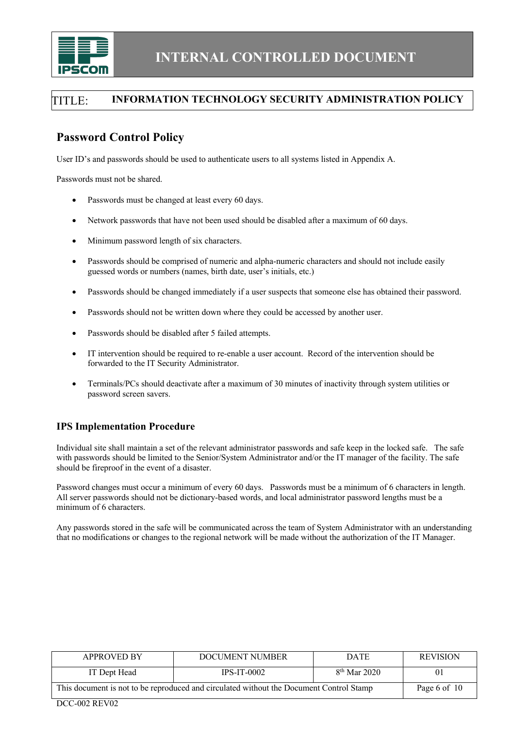

# **Password Control Policy**

User ID's and passwords should be used to authenticate users to all systems listed in Appendix A.

Passwords must not be shared.

- Passwords must be changed at least every 60 days.
- Network passwords that have not been used should be disabled after a maximum of 60 days.
- Minimum password length of six characters.
- Passwords should be comprised of numeric and alpha-numeric characters and should not include easily guessed words or numbers (names, birth date, user's initials, etc.)
- Passwords should be changed immediately if a user suspects that someone else has obtained their password.
- Passwords should not be written down where they could be accessed by another user.
- Passwords should be disabled after 5 failed attempts.
- IT intervention should be required to re-enable a user account. Record of the intervention should be forwarded to the IT Security Administrator.
- Terminals/PCs should deactivate after a maximum of 30 minutes of inactivity through system utilities or password screen savers.

### **IPS Implementation Procedure**

Individual site shall maintain a set of the relevant administrator passwords and safe keep in the locked safe. The safe with passwords should be limited to the Senior/System Administrator and/or the IT manager of the facility. The safe should be fireproof in the event of a disaster.

Password changes must occur a minimum of every 60 days. Passwords must be a minimum of 6 characters in length. All server passwords should not be dictionary-based words, and local administrator password lengths must be a minimum of 6 characters.

Any passwords stored in the safe will be communicated across the team of System Administrator with an understanding that no modifications or changes to the regional network will be made without the authorization of the IT Manager.

| <b>APPROVED BY</b>                                                                      | DOCUMENT NUMBER | <b>DATE</b>    | <b>REVISION</b> |
|-----------------------------------------------------------------------------------------|-----------------|----------------|-----------------|
| IT Dept Head                                                                            | $IPS-IT-0002$   | $8th$ Mar 2020 | 01              |
| This document is not to be reproduced and circulated without the Document Control Stamp | Page 6 of 10    |                |                 |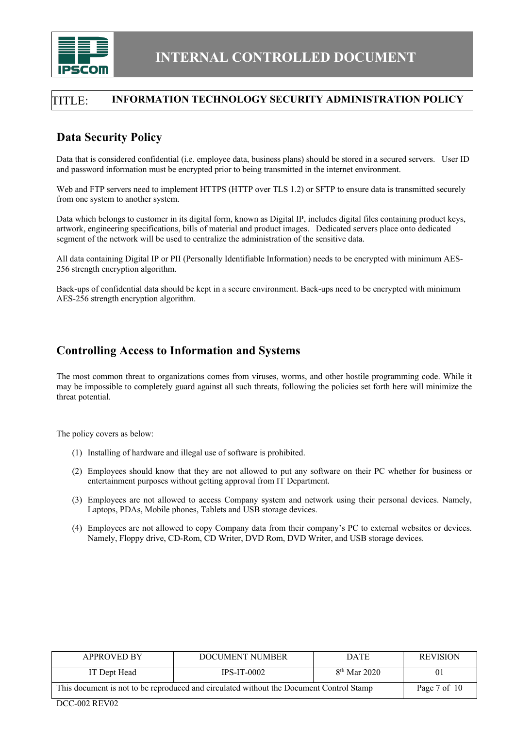

## **Data Security Policy**

Data that is considered confidential (i.e. employee data, business plans) should be stored in a secured servers. User ID and password information must be encrypted prior to being transmitted in the internet environment.

Web and FTP servers need to implement HTTPS (HTTP over TLS 1.2) or SFTP to ensure data is transmitted securely from one system to another system.

Data which belongs to customer in its digital form, known as Digital IP, includes digital files containing product keys, artwork, engineering specifications, bills of material and product images. Dedicated servers place onto dedicated segment of the network will be used to centralize the administration of the sensitive data.

All data containing Digital IP or PII (Personally Identifiable Information) needs to be encrypted with minimum AES-256 strength encryption algorithm.

Back-ups of confidential data should be kept in a secure environment. Back-ups need to be encrypted with minimum AES-256 strength encryption algorithm.

## **Controlling Access to Information and Systems**

The most common threat to organizations comes from viruses, worms, and other hostile programming code. While it may be impossible to completely guard against all such threats, following the policies set forth here will minimize the threat potential.

The policy covers as below:

- (1) Installing of hardware and illegal use of software is prohibited.
- (2) Employees should know that they are not allowed to put any software on their PC whether for business or entertainment purposes without getting approval from IT Department.
- (3) Employees are not allowed to access Company system and network using their personal devices. Namely, Laptops, PDAs, Mobile phones, Tablets and USB storage devices.
- (4) Employees are not allowed to copy Company data from their company's PC to external websites or devices. Namely, Floppy drive, CD-Rom, CD Writer, DVD Rom, DVD Writer, and USB storage devices.

| <b>APPROVED BY</b>                                                                      | DOCUMENT NUMBER | <b>DATE</b>    | <b>REVISION</b> |
|-----------------------------------------------------------------------------------------|-----------------|----------------|-----------------|
| IT Dept Head                                                                            | $IPS-IT-0002$   | $8th$ Mar 2020 | 01              |
| This document is not to be reproduced and circulated without the Document Control Stamp |                 |                | Page 7 of 10    |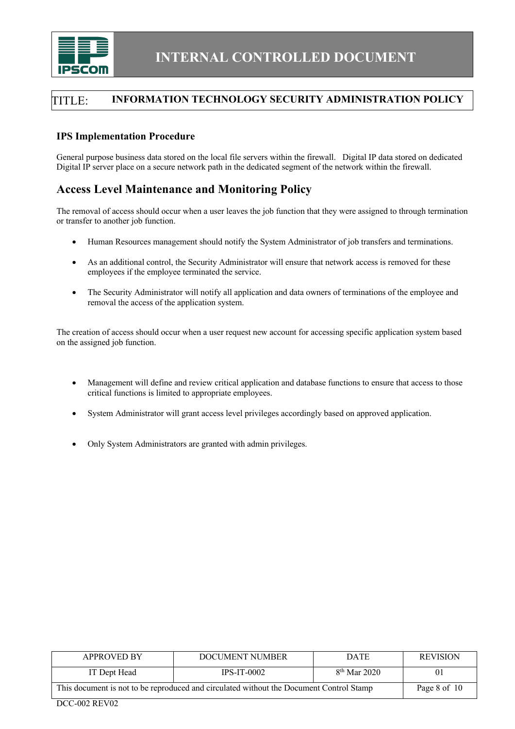

### **IPS Implementation Procedure**

General purpose business data stored on the local file servers within the firewall. Digital IP data stored on dedicated Digital IP server place on a secure network path in the dedicated segment of the network within the firewall.

# **Access Level Maintenance and Monitoring Policy**

The removal of access should occur when a user leaves the job function that they were assigned to through termination or transfer to another job function.

- Human Resources management should notify the System Administrator of job transfers and terminations.
- As an additional control, the Security Administrator will ensure that network access is removed for these employees if the employee terminated the service.
- The Security Administrator will notify all application and data owners of terminations of the employee and removal the access of the application system.

The creation of access should occur when a user request new account for accessing specific application system based on the assigned job function.

- Management will define and review critical application and database functions to ensure that access to those critical functions is limited to appropriate employees.
- System Administrator will grant access level privileges accordingly based on approved application.
- Only System Administrators are granted with admin privileges.

| <b>APPROVED BY</b>                                                                      | DOCUMENT NUMBER | <b>DATE</b>    | <b>REVISION</b> |
|-----------------------------------------------------------------------------------------|-----------------|----------------|-----------------|
| IT Dept Head                                                                            | $IPS-IT-0002$   | $8th$ Mar 2020 | 01              |
| This document is not to be reproduced and circulated without the Document Control Stamp | Page 8 of 10    |                |                 |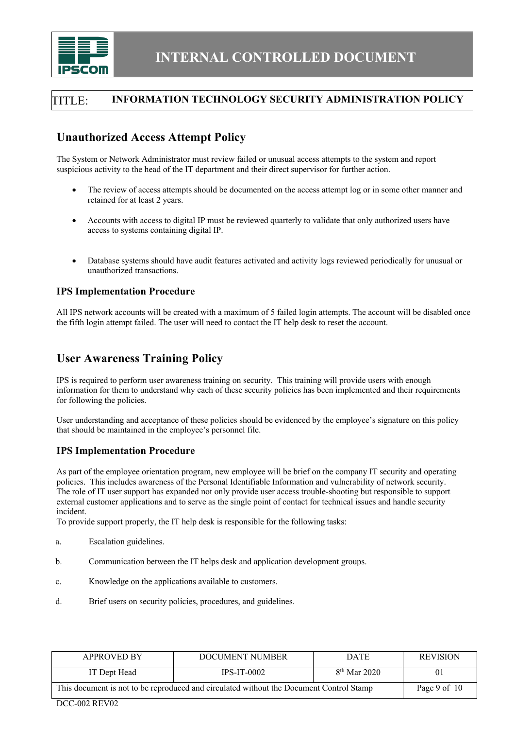

# **Unauthorized Access Attempt Policy**

The System or Network Administrator must review failed or unusual access attempts to the system and report suspicious activity to the head of the IT department and their direct supervisor for further action.

- The review of access attempts should be documented on the access attempt log or in some other manner and retained for at least 2 years.
- Accounts with access to digital IP must be reviewed quarterly to validate that only authorized users have access to systems containing digital IP.
- Database systems should have audit features activated and activity logs reviewed periodically for unusual or unauthorized transactions.

#### **IPS Implementation Procedure**

All IPS network accounts will be created with a maximum of 5 failed login attempts. The account will be disabled once the fifth login attempt failed. The user will need to contact the IT help desk to reset the account.

## **User Awareness Training Policy**

IPS is required to perform user awareness training on security. This training will provide users with enough information for them to understand why each of these security policies has been implemented and their requirements for following the policies.

User understanding and acceptance of these policies should be evidenced by the employee's signature on this policy that should be maintained in the employee's personnel file.

### **IPS Implementation Procedure**

As part of the employee orientation program, new employee will be brief on the company IT security and operating policies. This includes awareness of the Personal Identifiable Information and vulnerability of network security. The role of IT user support has expanded not only provide user access trouble-shooting but responsible to support external customer applications and to serve as the single point of contact for technical issues and handle security incident.

To provide support properly, the IT help desk is responsible for the following tasks:

- a. Escalation guidelines.
- b. Communication between the IT helps desk and application development groups.
- c. Knowledge on the applications available to customers.
- d. Brief users on security policies, procedures, and guidelines.

| <b>APPROVED BY</b>                                                                      | DOCUMENT NUMBER | <b>DATE</b>    | <b>REVISION</b> |
|-----------------------------------------------------------------------------------------|-----------------|----------------|-----------------|
| IT Dept Head                                                                            | $IPS-IT-0002$   | $8th$ Mar 2020 | 01              |
| This document is not to be reproduced and circulated without the Document Control Stamp | Page 9 of 10    |                |                 |